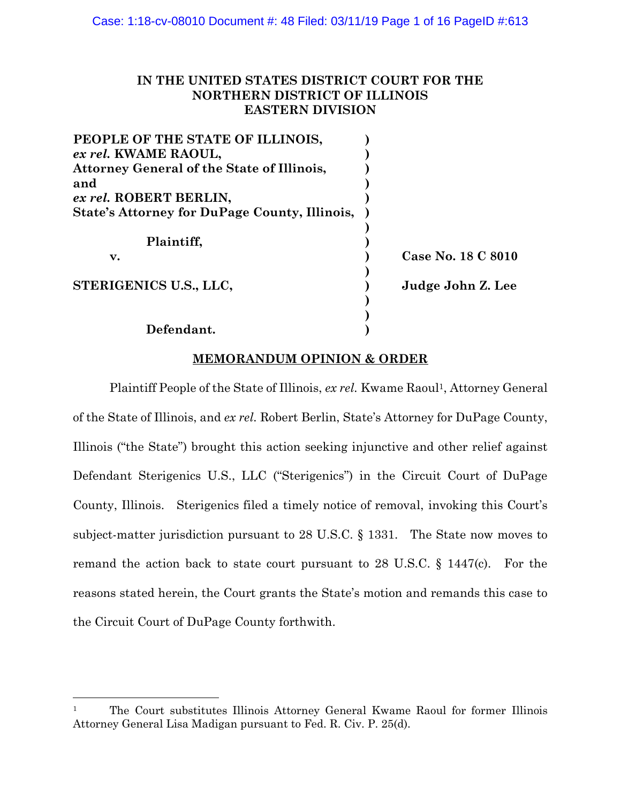# **IN THE UNITED STATES DISTRICT COURT FOR THE NORTHERN DISTRICT OF ILLINOIS EASTERN DIVISION**

| PEOPLE OF THE STATE OF ILLINOIS,                  |                    |
|---------------------------------------------------|--------------------|
| ex rel. KWAME RAOUL,                              |                    |
| <b>Attorney General of the State of Illinois,</b> |                    |
| and                                               |                    |
| ex rel. ROBERT BERLIN,                            |                    |
| State's Attorney for DuPage County, Illinois,     |                    |
|                                                   |                    |
| Plaintiff.                                        |                    |
| v.                                                | Case No. 18 C 8010 |
|                                                   |                    |
| STERIGENICS U.S., LLC,                            | Judge John Z. Lee  |
|                                                   |                    |
|                                                   |                    |
| Defendant.                                        |                    |

## **MEMORANDUM OPINION & ORDER**

Plaintiff People of the State of Illinois, *ex rel.* Kwame Raoul<sup>1</sup>, Attorney General of the State of Illinois, and *ex rel.* Robert Berlin, State's Attorney for DuPage County, Illinois ("the State") brought this action seeking injunctive and other relief against Defendant Sterigenics U.S., LLC ("Sterigenics") in the Circuit Court of DuPage County, Illinois. Sterigenics filed a timely notice of removal, invoking this Court's subject-matter jurisdiction pursuant to 28 U.S.C. § 1331. The State now moves to remand the action back to state court pursuant to 28 U.S.C. § 1447(c). For the reasons stated herein, the Court grants the State's motion and remands this case to the Circuit Court of DuPage County forthwith.

<sup>1</sup> The Court substitutes Illinois Attorney General Kwame Raoul for former Illinois Attorney General Lisa Madigan pursuant to Fed. R. Civ. P. 25(d).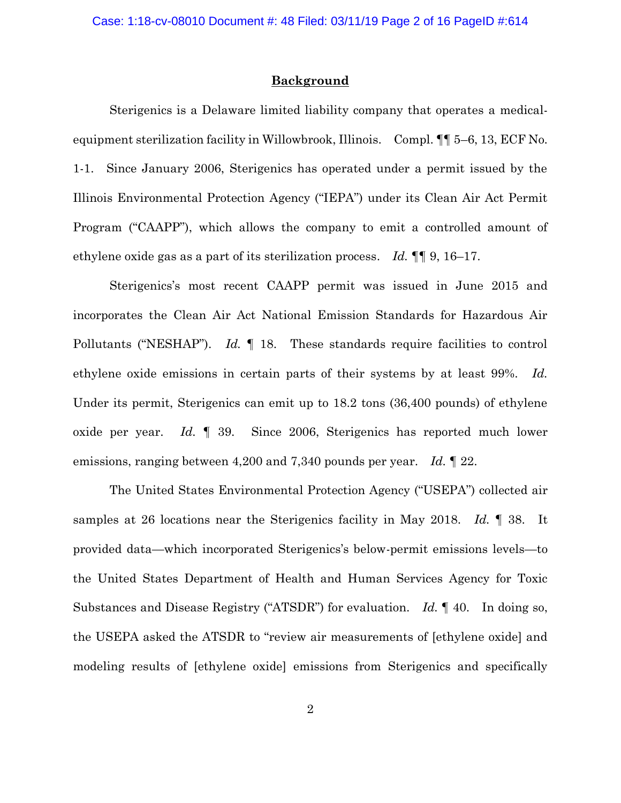### **Background**

Sterigenics is a Delaware limited liability company that operates a medicalequipment sterilization facility in Willowbrook, Illinois. Compl. ¶¶ 5–6, 13, ECF No. 1-1. Since January 2006, Sterigenics has operated under a permit issued by the Illinois Environmental Protection Agency ("IEPA") under its Clean Air Act Permit Program ("CAAPP"), which allows the company to emit a controlled amount of ethylene oxide gas as a part of its sterilization process. *Id.* ¶¶ 9, 16–17.

Sterigenics's most recent CAAPP permit was issued in June 2015 and incorporates the Clean Air Act National Emission Standards for Hazardous Air Pollutants ("NESHAP"). *Id.* ¶ 18. These standards require facilities to control ethylene oxide emissions in certain parts of their systems by at least 99%. *Id.* Under its permit, Sterigenics can emit up to 18.2 tons (36,400 pounds) of ethylene oxide per year. *Id.* ¶ 39. Since 2006, Sterigenics has reported much lower emissions, ranging between 4,200 and 7,340 pounds per year. *Id.* ¶ 22.

The United States Environmental Protection Agency ("USEPA") collected air samples at 26 locations near the Sterigenics facility in May 2018. *Id.* ¶ 38. It provided data—which incorporated Sterigenics's below-permit emissions levels—to the United States Department of Health and Human Services Agency for Toxic Substances and Disease Registry ("ATSDR") for evaluation. *Id.* ¶ 40. In doing so, the USEPA asked the ATSDR to "review air measurements of [ethylene oxide] and modeling results of [ethylene oxide] emissions from Sterigenics and specifically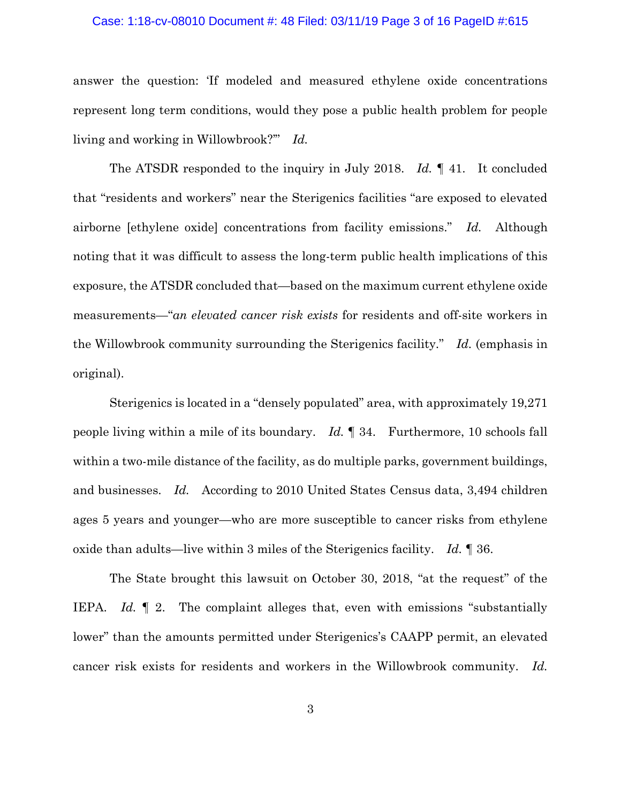### Case: 1:18-cv-08010 Document #: 48 Filed: 03/11/19 Page 3 of 16 PageID #:615

answer the question: 'If modeled and measured ethylene oxide concentrations represent long term conditions, would they pose a public health problem for people living and working in Willowbrook?'" *Id.*

The ATSDR responded to the inquiry in July 2018. *Id.* ¶ 41. It concluded that "residents and workers" near the Sterigenics facilities "are exposed to elevated airborne [ethylene oxide] concentrations from facility emissions." *Id.* Although noting that it was difficult to assess the long-term public health implications of this exposure, the ATSDR concluded that—based on the maximum current ethylene oxide measurements—"*an elevated cancer risk exists* for residents and off-site workers in the Willowbrook community surrounding the Sterigenics facility." *Id.* (emphasis in original).

Sterigenics is located in a "densely populated" area, with approximately 19,271 people living within a mile of its boundary. *Id.* ¶ 34. Furthermore, 10 schools fall within a two-mile distance of the facility, as do multiple parks, government buildings, and businesses. *Id.* According to 2010 United States Census data, 3,494 children ages 5 years and younger—who are more susceptible to cancer risks from ethylene oxide than adults—live within 3 miles of the Sterigenics facility. *Id.* ¶ 36.

The State brought this lawsuit on October 30, 2018, "at the request" of the IEPA. *Id.* ¶ 2. The complaint alleges that, even with emissions "substantially lower" than the amounts permitted under Sterigenics's CAAPP permit, an elevated cancer risk exists for residents and workers in the Willowbrook community. *Id.*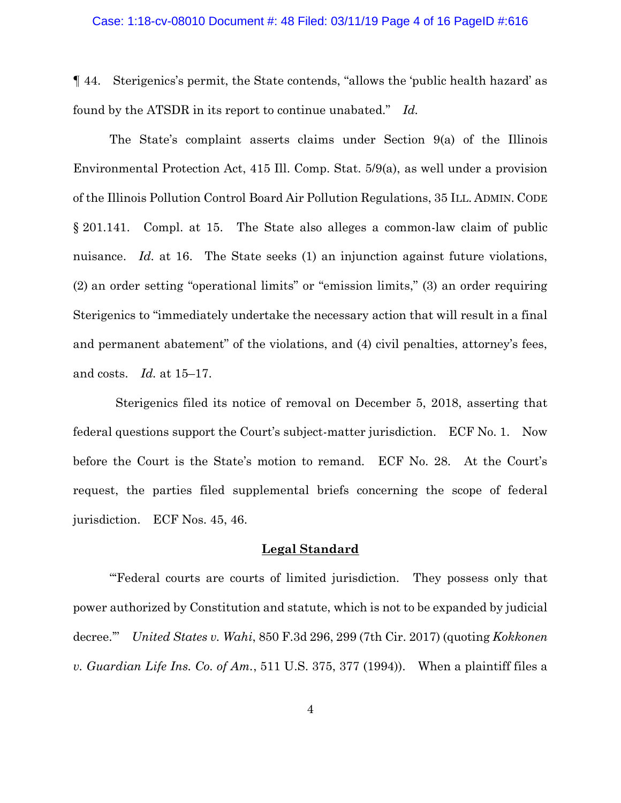#### Case: 1:18-cv-08010 Document #: 48 Filed: 03/11/19 Page 4 of 16 PageID #:616

¶ 44. Sterigenics's permit, the State contends, "allows the 'public health hazard' as found by the ATSDR in its report to continue unabated." *Id.*

The State's complaint asserts claims under Section 9(a) of the Illinois Environmental Protection Act, 415 Ill. Comp. Stat. 5/9(a), as well under a provision of the Illinois Pollution Control Board Air Pollution Regulations, 35 ILL. ADMIN. CODE § 201.141. Compl. at 15. The State also alleges a common-law claim of public nuisance. *Id.* at 16. The State seeks (1) an injunction against future violations, (2) an order setting "operational limits" or "emission limits," (3) an order requiring Sterigenics to "immediately undertake the necessary action that will result in a final and permanent abatement" of the violations, and (4) civil penalties, attorney's fees, and costs. *Id.* at 15–17.

Sterigenics filed its notice of removal on December 5, 2018, asserting that federal questions support the Court's subject-matter jurisdiction. ECF No. 1. Now before the Court is the State's motion to remand. ECF No. 28. At the Court's request, the parties filed supplemental briefs concerning the scope of federal jurisdiction. ECF Nos. 45, 46.

### **Legal Standard**

"Federal courts are courts of limited jurisdiction. They possess only that power authorized by Constitution and statute, which is not to be expanded by judicial decree.'" *United States v. Wahi*, 850 F.3d 296, 299 (7th Cir. 2017) (quoting *Kokkonen v. Guardian Life Ins. Co. of Am.*, 511 U.S. 375, 377 (1994)). When a plaintiff files a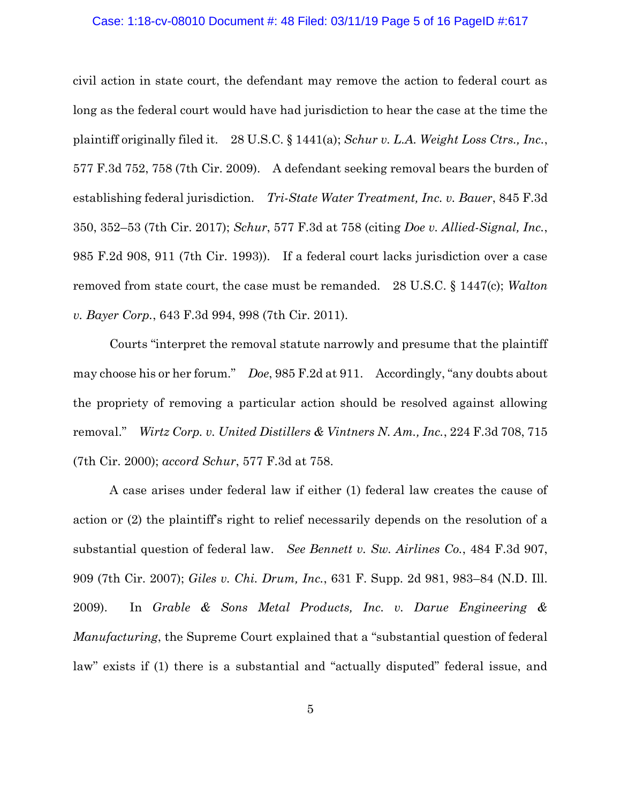### Case: 1:18-cv-08010 Document #: 48 Filed: 03/11/19 Page 5 of 16 PageID #:617

civil action in state court, the defendant may remove the action to federal court as long as the federal court would have had jurisdiction to hear the case at the time the plaintiff originally filed it. 28 U.S.C. § 1441(a); *Schur v. L.A. Weight Loss Ctrs., Inc.*, 577 F.3d 752, 758 (7th Cir. 2009). A defendant seeking removal bears the burden of establishing federal jurisdiction. *Tri-State Water Treatment, Inc. v. Bauer*, 845 F.3d 350, 352–53 (7th Cir. 2017); *Schur*, 577 F.3d at 758 (citing *Doe v. Allied-Signal, Inc.*, 985 F.2d 908, 911 (7th Cir. 1993)). If a federal court lacks jurisdiction over a case removed from state court, the case must be remanded. 28 U.S.C. § 1447(c); *Walton v. Bayer Corp.*, 643 F.3d 994, 998 (7th Cir. 2011).

Courts "interpret the removal statute narrowly and presume that the plaintiff may choose his or her forum." *Doe*, 985 F.2d at 911. Accordingly, "any doubts about the propriety of removing a particular action should be resolved against allowing removal." *Wirtz Corp. v. United Distillers & Vintners N. Am., Inc.*, 224 F.3d 708, 715 (7th Cir. 2000); *accord Schur*, 577 F.3d at 758.

A case arises under federal law if either (1) federal law creates the cause of action or (2) the plaintiff's right to relief necessarily depends on the resolution of a substantial question of federal law. *See Bennett v. Sw. Airlines Co.*, 484 F.3d 907, 909 (7th Cir. 2007); *Giles v. Chi. Drum, Inc.*, 631 F. Supp. 2d 981, 983–84 (N.D. Ill. 2009). In *Grable & Sons Metal Products, Inc. v. Darue Engineering & Manufacturing*, the Supreme Court explained that a "substantial question of federal law" exists if (1) there is a substantial and "actually disputed" federal issue, and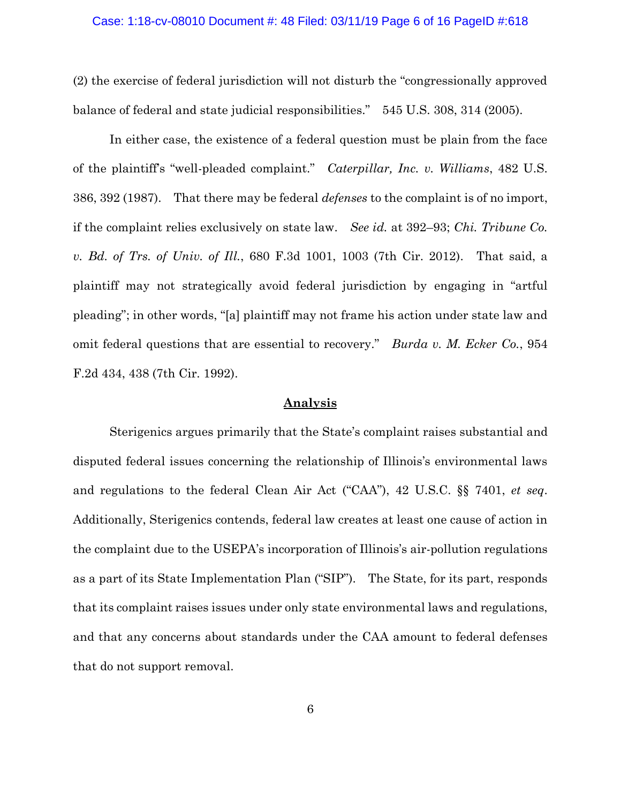### Case: 1:18-cv-08010 Document #: 48 Filed: 03/11/19 Page 6 of 16 PageID #:618

(2) the exercise of federal jurisdiction will not disturb the "congressionally approved balance of federal and state judicial responsibilities." 545 U.S. 308, 314 (2005).

In either case, the existence of a federal question must be plain from the face of the plaintiff's "well-pleaded complaint." *Caterpillar, Inc. v. Williams*, 482 U.S. 386, 392 (1987). That there may be federal *defenses* to the complaint is of no import, if the complaint relies exclusively on state law. *See id.* at 392–93; *Chi. Tribune Co. v. Bd. of Trs. of Univ. of Ill.*, 680 F.3d 1001, 1003 (7th Cir. 2012). That said, a plaintiff may not strategically avoid federal jurisdiction by engaging in "artful pleading"; in other words, "[a] plaintiff may not frame his action under state law and omit federal questions that are essential to recovery." *Burda v. M. Ecker Co.*, 954 F.2d 434, 438 (7th Cir. 1992).

### **Analysis**

Sterigenics argues primarily that the State's complaint raises substantial and disputed federal issues concerning the relationship of Illinois's environmental laws and regulations to the federal Clean Air Act ("CAA"), 42 U.S.C. §§ 7401, *et seq*. Additionally, Sterigenics contends, federal law creates at least one cause of action in the complaint due to the USEPA's incorporation of Illinois's air-pollution regulations as a part of its State Implementation Plan ("SIP"). The State, for its part, responds that its complaint raises issues under only state environmental laws and regulations, and that any concerns about standards under the CAA amount to federal defenses that do not support removal.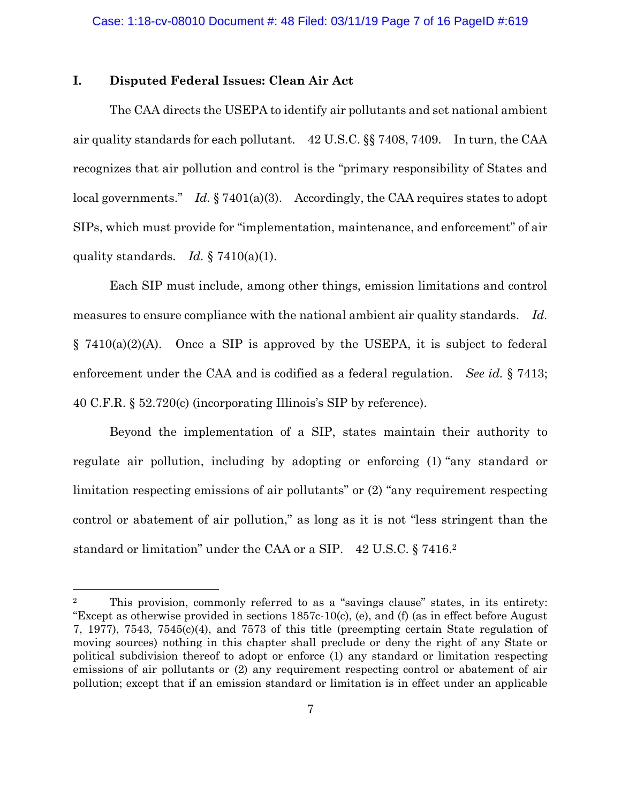### **I. Disputed Federal Issues: Clean Air Act**

 $\overline{a}$ 

The CAA directs the USEPA to identify air pollutants and set national ambient air quality standards for each pollutant. 42 U.S.C. §§ 7408, 7409. In turn, the CAA recognizes that air pollution and control is the "primary responsibility of States and local governments." *Id.* § 7401(a)(3). Accordingly, the CAA requires states to adopt SIPs, which must provide for "implementation, maintenance, and enforcement" of air quality standards. *Id.* § 7410(a)(1).

Each SIP must include, among other things, emission limitations and control measures to ensure compliance with the national ambient air quality standards. *Id.* § 7410(a)(2)(A). Once a SIP is approved by the USEPA, it is subject to federal enforcement under the CAA and is codified as a federal regulation. *See id.* § 7413; 40 C.F.R. § 52.720(c) (incorporating Illinois's SIP by reference).

Beyond the implementation of a SIP, states maintain their authority to regulate air pollution, including by adopting or enforcing (1) "any standard or limitation respecting emissions of air pollutants" or (2) "any requirement respecting control or abatement of air pollution," as long as it is not "less stringent than the standard or limitation" under the CAA or a SIP. 42 U.S.C. § 7416.<sup>2</sup>

<sup>2</sup> This provision, commonly referred to as a "savings clause" states, in its entirety: "Except as otherwise provided in sections 1857c-10(c), (e), and (f) (as in effect before August 7, 1977), 7543, 7545(c)(4), and 7573 of this title (preempting certain State regulation of moving sources) nothing in this chapter shall preclude or deny the right of any State or political subdivision thereof to adopt or enforce (1) any standard or limitation respecting emissions of air pollutants or (2) any requirement respecting control or abatement of air pollution; except that if an emission standard or limitation is in effect under an applicable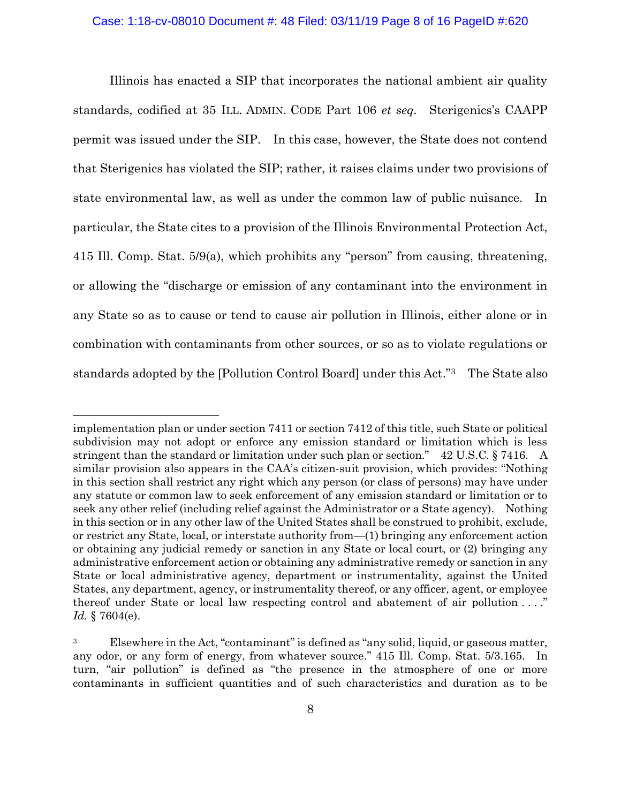Illinois has enacted a SIP that incorporates the national ambient air quality standards, codified at 35 ILL. ADMIN. CODE Part 106 *et seq.* Sterigenics's CAAPP permit was issued under the SIP. In this case, however, the State does not contend that Sterigenics has violated the SIP; rather, it raises claims under two provisions of state environmental law, as well as under the common law of public nuisance. In particular, the State cites to a provision of the Illinois Environmental Protection Act, 415 Ill. Comp. Stat. 5/9(a), which prohibits any "person" from causing, threatening, or allowing the "discharge or emission of any contaminant into the environment in any State so as to cause or tend to cause air pollution in Illinois, either alone or in combination with contaminants from other sources, or so as to violate regulations or standards adopted by the [Pollution Control Board] under this Act."3 The State also

implementation plan or under section 7411 or section 7412 of this title, such State or political subdivision may not adopt or enforce any emission standard or limitation which is less stringent than the standard or limitation under such plan or section." 42 U.S.C. § 7416. A similar provision also appears in the CAA's citizen-suit provision, which provides: "Nothing in this section shall restrict any right which any person (or class of persons) may have under any statute or common law to seek enforcement of any emission standard or limitation or to seek any other relief (including relief against the Administrator or a State agency). Nothing in this section or in any other law of the United States shall be construed to prohibit, exclude, or restrict any State, local, or interstate authority from—(1) bringing any enforcement action or obtaining any judicial remedy or sanction in any State or local court, or (2) bringing any administrative enforcement action or obtaining any administrative remedy or sanction in any State or local administrative agency, department or instrumentality, against the United States, any department, agency, or instrumentality thereof, or any officer, agent, or employee thereof under State or local law respecting control and abatement of air pollution . . . ." *Id.* § 7604(e).

<sup>&</sup>lt;sup>3</sup> Elsewhere in the Act, "contaminant" is defined as "any solid, liquid, or gaseous matter, any odor, or any form of energy, from whatever source." 415 Ill. Comp. Stat. 5/3.165. In turn, "air pollution" is defined as "the presence in the atmosphere of one or more contaminants in sufficient quantities and of such characteristics and duration as to be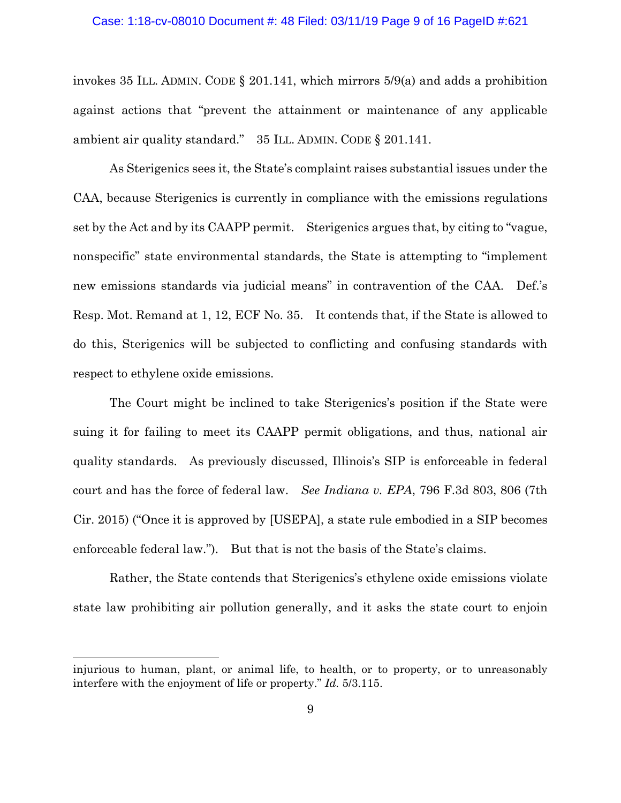#### Case: 1:18-cv-08010 Document #: 48 Filed: 03/11/19 Page 9 of 16 PageID #:621

invokes 35 ILL. ADMIN. CODE  $\S$  201.141, which mirrors 5/9(a) and adds a prohibition against actions that "prevent the attainment or maintenance of any applicable ambient air quality standard." 35 ILL. ADMIN. CODE § 201.141.

As Sterigenics sees it, the State's complaint raises substantial issues under the CAA, because Sterigenics is currently in compliance with the emissions regulations set by the Act and by its CAAPP permit. Sterigenics argues that, by citing to "vague, nonspecific" state environmental standards, the State is attempting to "implement new emissions standards via judicial means" in contravention of the CAA. Def.'s Resp. Mot. Remand at 1, 12, ECF No. 35. It contends that, if the State is allowed to do this, Sterigenics will be subjected to conflicting and confusing standards with respect to ethylene oxide emissions.

The Court might be inclined to take Sterigenics's position if the State were suing it for failing to meet its CAAPP permit obligations, and thus, national air quality standards. As previously discussed, Illinois's SIP is enforceable in federal court and has the force of federal law. *See Indiana v. EPA*, 796 F.3d 803, 806 (7th Cir. 2015) ("Once it is approved by [USEPA], a state rule embodied in a SIP becomes enforceable federal law."). But that is not the basis of the State's claims.

Rather, the State contends that Sterigenics's ethylene oxide emissions violate state law prohibiting air pollution generally, and it asks the state court to enjoin

injurious to human, plant, or animal life, to health, or to property, or to unreasonably interfere with the enjoyment of life or property." *Id.* 5/3.115.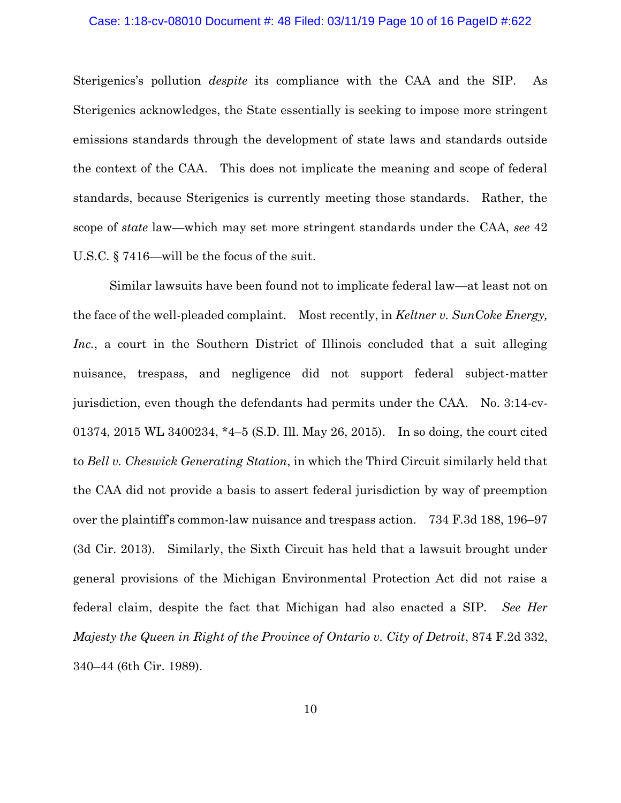#### Case: 1:18-cv-08010 Document #: 48 Filed: 03/11/19 Page 10 of 16 PageID #:622

Sterigenics's pollution *despite* its compliance with the CAA and the SIP. As Sterigenics acknowledges, the State essentially is seeking to impose more stringent emissions standards through the development of state laws and standards outside the context of the CAA. This does not implicate the meaning and scope of federal standards, because Sterigenics is currently meeting those standards. Rather, the scope of *state* law—which may set more stringent standards under the CAA, *see* 42 U.S.C. § 7416—will be the focus of the suit.

Similar lawsuits have been found not to implicate federal law—at least not on the face of the well-pleaded complaint. Most recently, in *Keltner v. SunCoke Energy, Inc.*, a court in the Southern District of Illinois concluded that a suit alleging nuisance, trespass, and negligence did not support federal subject-matter jurisdiction, even though the defendants had permits under the CAA. No. 3:14-cv-01374, 2015 WL 3400234, \*4–5 (S.D. Ill. May 26, 2015). In so doing, the court cited to *Bell v. Cheswick Generating Station*, in which the Third Circuit similarly held that the CAA did not provide a basis to assert federal jurisdiction by way of preemption over the plaintiff's common-law nuisance and trespass action. 734 F.3d 188, 196–97 (3d Cir. 2013). Similarly, the Sixth Circuit has held that a lawsuit brought under general provisions of the Michigan Environmental Protection Act did not raise a federal claim, despite the fact that Michigan had also enacted a SIP. *See Her Majesty the Queen in Right of the Province of Ontario v. City of Detroit, 874 F.2d 332,* 340–44 (6th Cir. 1989).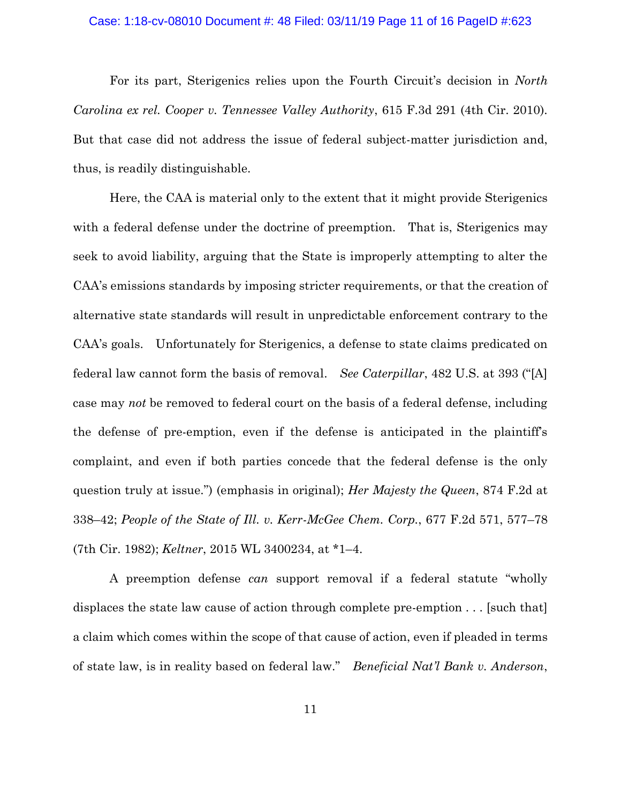#### Case: 1:18-cv-08010 Document #: 48 Filed: 03/11/19 Page 11 of 16 PageID #:623

For its part, Sterigenics relies upon the Fourth Circuit's decision in *North Carolina ex rel. Cooper v. Tennessee Valley Authority*, 615 F.3d 291 (4th Cir. 2010). But that case did not address the issue of federal subject-matter jurisdiction and, thus, is readily distinguishable.

Here, the CAA is material only to the extent that it might provide Sterigenics with a federal defense under the doctrine of preemption. That is, Sterigenics may seek to avoid liability, arguing that the State is improperly attempting to alter the CAA's emissions standards by imposing stricter requirements, or that the creation of alternative state standards will result in unpredictable enforcement contrary to the CAA's goals. Unfortunately for Sterigenics, a defense to state claims predicated on federal law cannot form the basis of removal. *See Caterpillar*, 482 U.S. at 393 ("[A] case may *not* be removed to federal court on the basis of a federal defense, including the defense of pre-emption, even if the defense is anticipated in the plaintiff's complaint, and even if both parties concede that the federal defense is the only question truly at issue.") (emphasis in original); *Her Majesty the Queen*, 874 F.2d at 338–42; *People of the State of Ill. v. Kerr-McGee Chem. Corp.*, 677 F.2d 571, 577–78 (7th Cir. 1982); *Keltner*, 2015 WL 3400234, at \*1–4.

A preemption defense *can* support removal if a federal statute "wholly displaces the state law cause of action through complete pre-emption . . . [such that] a claim which comes within the scope of that cause of action, even if pleaded in terms of state law, is in reality based on federal law." *Beneficial Nat'l Bank v. Anderson*,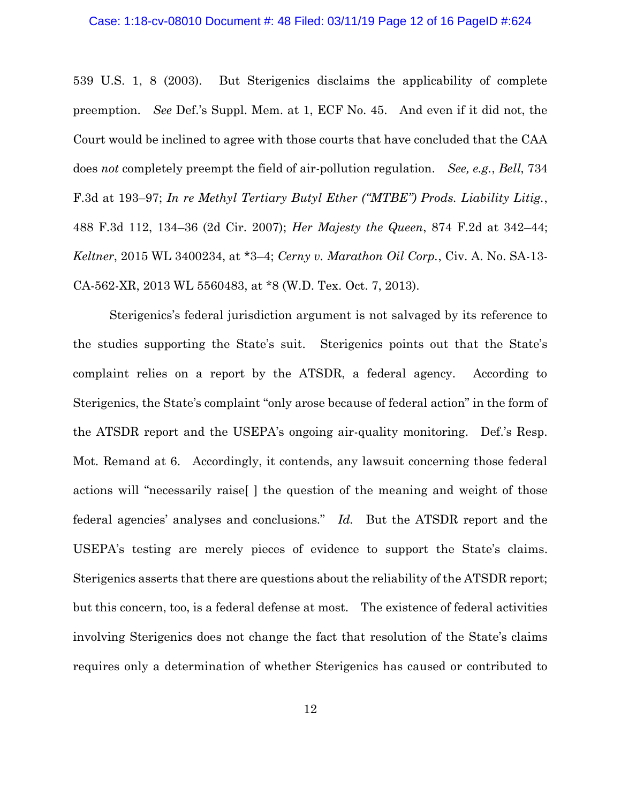#### Case: 1:18-cv-08010 Document #: 48 Filed: 03/11/19 Page 12 of 16 PageID #:624

539 U.S. 1, 8 (2003). But Sterigenics disclaims the applicability of complete preemption. *See* Def.'s Suppl. Mem. at 1, ECF No. 45. And even if it did not, the Court would be inclined to agree with those courts that have concluded that the CAA does *not* completely preempt the field of air-pollution regulation. *See, e.g.*, *Bell*, 734 F.3d at 193–97; *In re Methyl Tertiary Butyl Ether ("MTBE") Prods. Liability Litig.*, 488 F.3d 112, 134–36 (2d Cir. 2007); *Her Majesty the Queen*, 874 F.2d at 342–44; *Keltner*, 2015 WL 3400234, at \*3–4; *Cerny v. Marathon Oil Corp.*, Civ. A. No. SA-13- CA-562-XR, 2013 WL 5560483, at \*8 (W.D. Tex. Oct. 7, 2013).

Sterigenics's federal jurisdiction argument is not salvaged by its reference to the studies supporting the State's suit. Sterigenics points out that the State's complaint relies on a report by the ATSDR, a federal agency. According to Sterigenics, the State's complaint "only arose because of federal action" in the form of the ATSDR report and the USEPA's ongoing air-quality monitoring. Def.'s Resp. Mot. Remand at 6. Accordingly, it contends, any lawsuit concerning those federal actions will "necessarily raise[ ] the question of the meaning and weight of those federal agencies' analyses and conclusions." *Id.* But the ATSDR report and the USEPA's testing are merely pieces of evidence to support the State's claims. Sterigenics asserts that there are questions about the reliability of the ATSDR report; but this concern, too, is a federal defense at most. The existence of federal activities involving Sterigenics does not change the fact that resolution of the State's claims requires only a determination of whether Sterigenics has caused or contributed to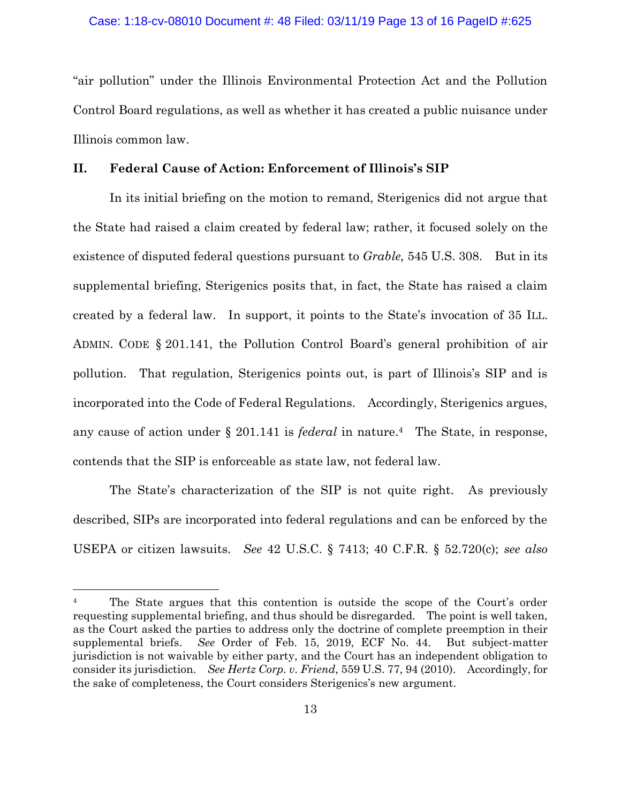"air pollution" under the Illinois Environmental Protection Act and the Pollution Control Board regulations, as well as whether it has created a public nuisance under Illinois common law.

### **II. Federal Cause of Action: Enforcement of Illinois's SIP**

In its initial briefing on the motion to remand, Sterigenics did not argue that the State had raised a claim created by federal law; rather, it focused solely on the existence of disputed federal questions pursuant to *Grable,* 545 U.S. 308. But in its supplemental briefing, Sterigenics posits that, in fact, the State has raised a claim created by a federal law. In support, it points to the State's invocation of 35 ILL. ADMIN. CODE § 201.141, the Pollution Control Board's general prohibition of air pollution. That regulation, Sterigenics points out, is part of Illinois's SIP and is incorporated into the Code of Federal Regulations. Accordingly, Sterigenics argues, any cause of action under § 201.141 is *federal* in nature.4 The State, in response, contends that the SIP is enforceable as state law, not federal law.

The State's characterization of the SIP is not quite right. As previously described, SIPs are incorporated into federal regulations and can be enforced by the USEPA or citizen lawsuits. *See* 42 U.S.C. § 7413; 40 C.F.R. § 52.720(c); *see also*

<sup>&</sup>lt;sup>4</sup> The State argues that this contention is outside the scope of the Court's order requesting supplemental briefing, and thus should be disregarded. The point is well taken, as the Court asked the parties to address only the doctrine of complete preemption in their supplemental briefs. *See* Order of Feb. 15, 2019, ECF No. 44. But subject-matter jurisdiction is not waivable by either party, and the Court has an independent obligation to consider its jurisdiction. *See Hertz Corp. v. Friend*, 559 U.S. 77, 94 (2010). Accordingly, for the sake of completeness, the Court considers Sterigenics's new argument.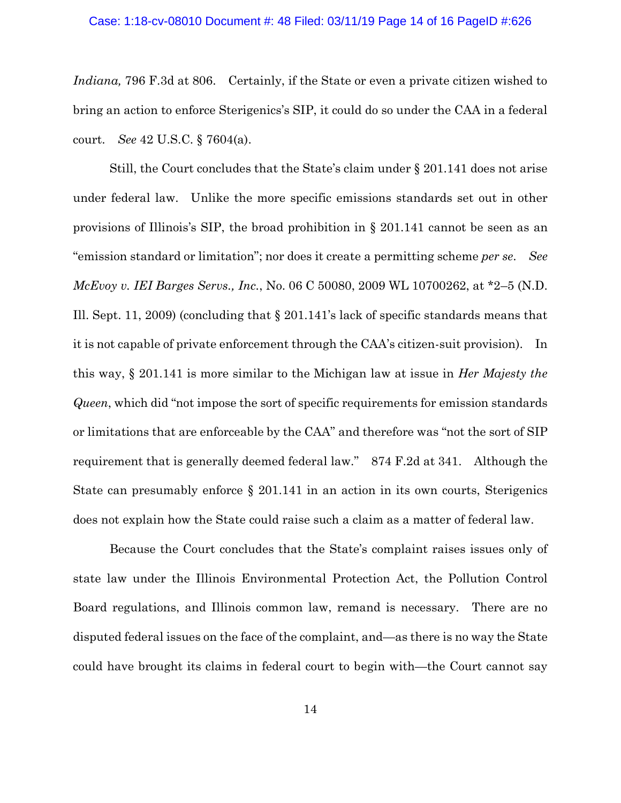### Case: 1:18-cv-08010 Document #: 48 Filed: 03/11/19 Page 14 of 16 PageID #:626

*Indiana,* 796 F.3d at 806. Certainly, if the State or even a private citizen wished to bring an action to enforce Sterigenics's SIP, it could do so under the CAA in a federal court. *See* 42 U.S.C. § 7604(a).

Still, the Court concludes that the State's claim under § 201.141 does not arise under federal law. Unlike the more specific emissions standards set out in other provisions of Illinois's SIP, the broad prohibition in § 201.141 cannot be seen as an "emission standard or limitation"; nor does it create a permitting scheme *per se*. *See McEvoy v. IEI Barges Servs., Inc.*, No. 06 C 50080, 2009 WL 10700262, at \*2–5 (N.D. Ill. Sept. 11, 2009) (concluding that § 201.141's lack of specific standards means that it is not capable of private enforcement through the CAA's citizen-suit provision). In this way, § 201.141 is more similar to the Michigan law at issue in *Her Majesty the Queen*, which did "not impose the sort of specific requirements for emission standards or limitations that are enforceable by the CAA" and therefore was "not the sort of SIP requirement that is generally deemed federal law." 874 F.2d at 341. Although the State can presumably enforce § 201.141 in an action in its own courts, Sterigenics does not explain how the State could raise such a claim as a matter of federal law.

Because the Court concludes that the State's complaint raises issues only of state law under the Illinois Environmental Protection Act, the Pollution Control Board regulations, and Illinois common law, remand is necessary. There are no disputed federal issues on the face of the complaint, and—as there is no way the State could have brought its claims in federal court to begin with—the Court cannot say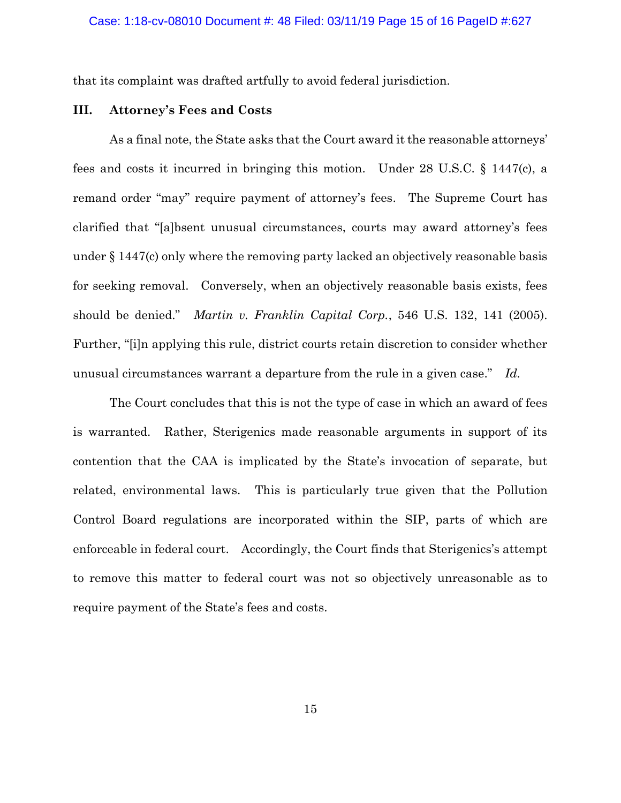that its complaint was drafted artfully to avoid federal jurisdiction.

### **III. Attorney's Fees and Costs**

As a final note, the State asks that the Court award it the reasonable attorneys' fees and costs it incurred in bringing this motion. Under 28 U.S.C. § 1447(c), a remand order "may" require payment of attorney's fees. The Supreme Court has clarified that "[a]bsent unusual circumstances, courts may award attorney's fees under § 1447(c) only where the removing party lacked an objectively reasonable basis for seeking removal. Conversely, when an objectively reasonable basis exists, fees should be denied." *Martin v. Franklin Capital Corp.*, 546 U.S. 132, 141 (2005). Further, "[i]n applying this rule, district courts retain discretion to consider whether unusual circumstances warrant a departure from the rule in a given case." *Id.*

The Court concludes that this is not the type of case in which an award of fees is warranted. Rather, Sterigenics made reasonable arguments in support of its contention that the CAA is implicated by the State's invocation of separate, but related, environmental laws. This is particularly true given that the Pollution Control Board regulations are incorporated within the SIP, parts of which are enforceable in federal court. Accordingly, the Court finds that Sterigenics's attempt to remove this matter to federal court was not so objectively unreasonable as to require payment of the State's fees and costs.